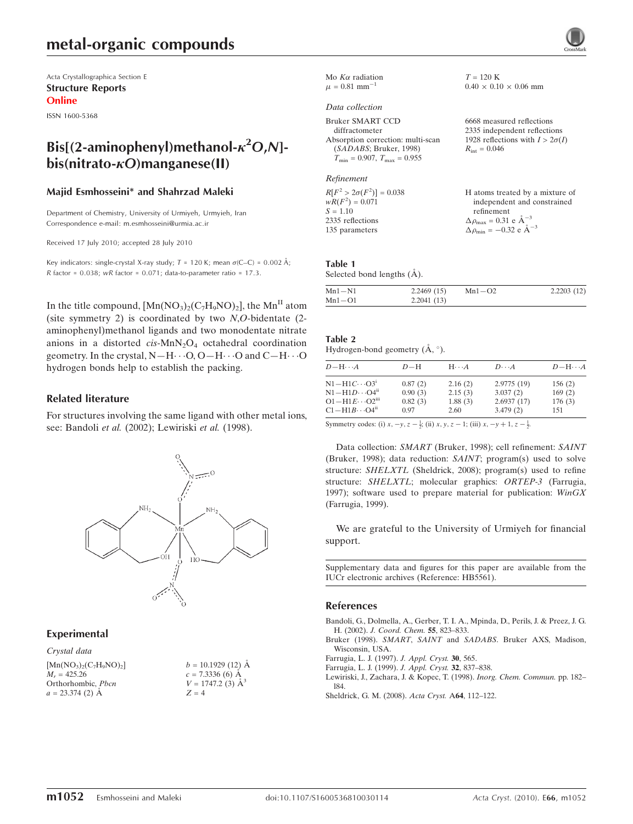# metal-organic compounds

Acta Crystallographica Section E Structure Reports Online

ISSN 1600-5368

# Bis[(2-aminophenyl)methanol- $\kappa^2$ O,N] $bis(nitrato- $\kappa$ O)manzanese(II)$

#### Majid Esmhosseini\* and Shahrzad Maleki

Department of Chemistry, University of Urmiyeh, Urmyieh, Iran Correspondence e-mail: m.esmhosseini@urmia.ac.ir

Received 17 July 2010; accepted 28 July 2010

Key indicators: single-crystal X-ray study;  $T = 120$  K; mean  $\sigma$ (C–C) = 0.002 Å;  $R$  factor = 0.038; wR factor = 0.071; data-to-parameter ratio = 17.3.

In the title compound,  $[Mn(NO_3)_2(C_7H_9NO)_2]$ , the Mn<sup>II</sup> atom (site symmetry 2) is coordinated by two  $N, O$ -bidentate  $(2$ aminophenyl)methanol ligands and two monodentate nitrate anions in a distorted  $cis$ -MnN<sub>2</sub>O<sub>4</sub> octahedral coordination geometry. In the crystal,  $N-H\cdots O$ ,  $O-H\cdots O$  and  $C-H\cdots O$ hydrogen bonds help to establish the packing.

#### Related literature

For structures involving the same ligand with other metal ions, see: Bandoli et al. (2002); Lewiriski et al. (1998).



#### Experimental

Crystal data  $[Mn(NO_3)_{2}(C_7H_9NO)_2]$  $M<sub>r</sub> = 425.26$ Orthorhombic, Pbcn  $a = 23.374$  (2) Å



|                               | Mo $K\alpha$ radiation |
|-------------------------------|------------------------|
| $\mu = 0.81$ mm <sup>-1</sup> |                        |

#### Data collection

Bruker SMART CCD diffractometer Absorption correction: multi-scan (SADABS; Bruker, 1998)  $T_{\min} = 0.907, T_{\max} = 0.955$ 

Refinement

 $R[F^2 > 2\sigma(F^2)] = 0.038$ <br>  $wR(F^2) = 0.071$  $S = 1.10$ 2335 reflections 135 parameters H atoms treated by a mixture of independent and constrained refinement  $\Delta \rho_{\text{max}} = 0.31 \text{ e A}^{-3}$  $\Delta \rho_{\rm min} = -0.32 \text{ e } \text{\AA}^{-3}$ 

Table 1

| Selected bond lengths (A). |            |                |  |  |
|----------------------------|------------|----------------|--|--|
| $Mn1$ N <sub>1</sub>       | 2.2460(15) | $Mn1$ $\Omega$ |  |  |

| $Mn1 - O1$ | 2.2041(13) |            |            |
|------------|------------|------------|------------|
| $Mn1-N1$   | 2.2469(15) | $Mn1 - O2$ | 2.2203(12) |

 $T = 120$  K

 $R_{\rm int} = 0.046$ 

 $0.40 \times 0.10 \times 0.06$  mm

6668 measured reflections 2335 independent reflections 1928 reflections with  $I > 2\sigma(I)$ 

#### Table 2

Hydrogen-bond geometry  $(\mathring{A}, \degree)$ .

| $D - H \cdots A$                                                 | $D-H$   | $H \cdot \cdot \cdot A$ | $D\cdots A$ | $D - H \cdots A$ |
|------------------------------------------------------------------|---------|-------------------------|-------------|------------------|
| $N1 - H1C \cdots O3^1$                                           | 0.87(2) | 2.16(2)                 | 2.9775(19)  | 156(2)           |
| $N1 - H1D \cdots O4^{ii}$                                        | 0.90(3) | 2.15(3)                 | 3.037(2)    | 169(2)           |
| $O1 - H1E \cdots O2iii$                                          | 0.82(3) | 1.88(3)                 | 2.6937(17)  | 176(3)           |
| $C1 - H1B \cdots O4^n$                                           | 0.97    | 2.60                    | 3.479(2)    | 151              |
| $\mathcal{O}_{\text{symmetry and an}}(3) = 1.633 = 1.633 \ldots$ |         |                         |             |                  |

Symmetry codes: (i)  $x, -y, z - \frac{1}{2}$ ; (ii)  $x, y, z - 1$ ; (iii)  $x, -y + 1, z - \frac{1}{2}$ .

Data collection: SMART (Bruker, 1998); cell refinement: SAINT (Bruker, 1998); data reduction: SAINT; program(s) used to solve structure: SHELXTL (Sheldrick, 2008); program(s) used to refine structure: SHELXTL; molecular graphics: ORTEP-3 (Farrugia, 1997); software used to prepare material for publication:  $WinGX$ (Farrugia, 1999).

We are grateful to the University of Urmiyeh for financial support.

Supplementary data and figures for this paper are available from the IUCr electronic archives (Reference: HB5561).

#### References

[Bandoli, G., Dolmella, A., Gerber, T. I. A., Mpinda, D., Perils, J. & Preez, J. G.](https://scripts.iucr.org/cgi-bin/cr.cgi?rm=pdfbb&cnor=hb5561&bbid=BB1) H. (2002). [J. Coord. Chem.](https://scripts.iucr.org/cgi-bin/cr.cgi?rm=pdfbb&cnor=hb5561&bbid=BB1) 55, 823–833.

Bruker (1998). SMART, SAINT and SADABS[. Bruker AXS, Madison,](https://scripts.iucr.org/cgi-bin/cr.cgi?rm=pdfbb&cnor=hb5561&bbid=BB2) [Wisconsin, USA.](https://scripts.iucr.org/cgi-bin/cr.cgi?rm=pdfbb&cnor=hb5561&bbid=BB2)

- [Farrugia, L. J. \(1997\).](https://scripts.iucr.org/cgi-bin/cr.cgi?rm=pdfbb&cnor=hb5561&bbid=BB3) J. Appl. Cryst. 30, 565.
- [Farrugia, L. J. \(1999\).](https://scripts.iucr.org/cgi-bin/cr.cgi?rm=pdfbb&cnor=hb5561&bbid=BB4) J. Appl. Cryst. 32, 837–838.

[Lewiriski, J., Zachara, J. & Kopec, T. \(1998\).](https://scripts.iucr.org/cgi-bin/cr.cgi?rm=pdfbb&cnor=hb5561&bbid=BB5) Inorg. Chem. Commun. pp. 182– [l84.](https://scripts.iucr.org/cgi-bin/cr.cgi?rm=pdfbb&cnor=hb5561&bbid=BB5)

[Sheldrick, G. M. \(2008\).](https://scripts.iucr.org/cgi-bin/cr.cgi?rm=pdfbb&cnor=hb5561&bbid=BB6) Acta Cryst. A64, 112–122.

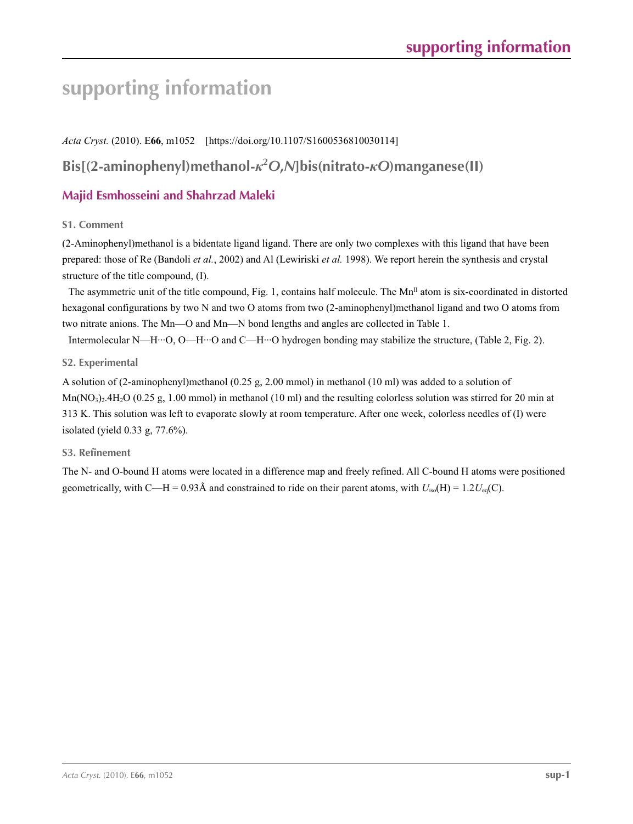# **supporting information**

*Acta Cryst.* (2010). E**66**, m1052 [https://doi.org/10.1107/S1600536810030114]

**Bis[(2-aminophenyl)methanol-***κ***<sup>2</sup>** *O***,***N***]bis(nitrato-***κO***)manganese(II)**

# **Majid Esmhosseini and Shahrzad Maleki**

### **S1. Comment**

(2-Aminophenyl)methanol is a bidentate ligand ligand. There are only two complexes with this ligand that have been prepared: those of Re (Bandoli *et al.*, 2002) and Al (Lewiriski *et al.* 1998). We report herein the synthesis and crystal structure of the title compound, (I).

The asymmetric unit of the title compound, Fig. 1, contains half molecule. The  $Mn<sup>II</sup>$  atom is six-coordinated in distorted hexagonal configurations by two N and two O atoms from two (2-aminophenyl)methanol ligand and two O atoms from two nitrate anions. The Mn—O and Mn—N bond lengths and angles are collected in Table 1.

Intermolecular N—H···O, O—H···O and C—H···O hydrogen bonding may stabilize the structure, (Table 2, Fig. 2).

### **S2. Experimental**

A solution of (2-aminophenyl)methanol (0.25 g, 2.00 mmol) in methanol (10 ml) was added to a solution of  $Mn(NO<sub>3</sub>)<sub>2</sub>4H<sub>2</sub>O$  (0.25 g, 1.00 mmol) in methanol (10 ml) and the resulting colorless solution was stirred for 20 min at 313 K. This solution was left to evaporate slowly at room temperature. After one week, colorless needles of (I) were isolated (yield 0.33 g, 77.6%).

#### **S3. Refinement**

The N- and O-bound H atoms were located in a difference map and freely refined. All C-bound H atoms were positioned geometrically, with C—H = 0.93Å and constrained to ride on their parent atoms, with  $U_{iso}(H) = 1.2U_{eq}(C)$ .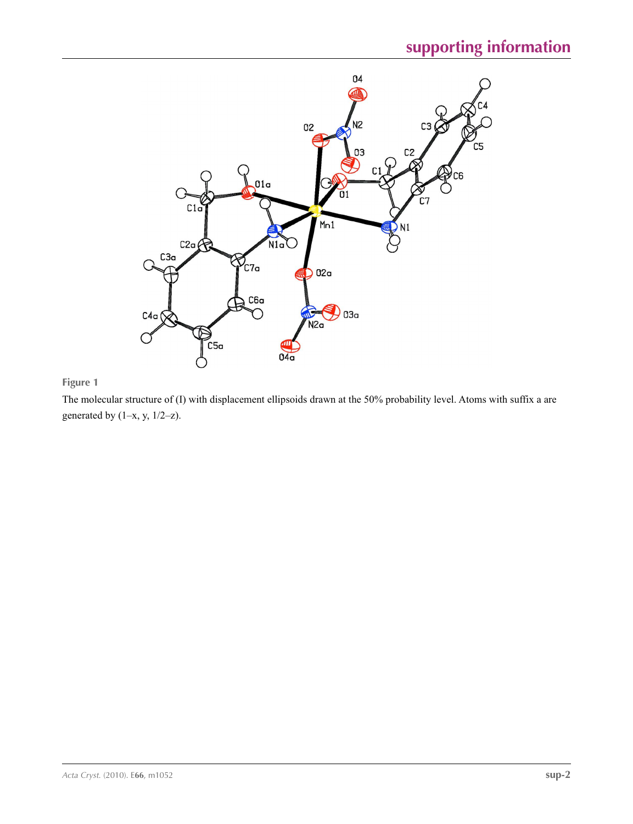

## **Figure 1**

The molecular structure of (I) with displacement ellipsoids drawn at the 50% probability level. Atoms with suffix a are generated by  $(1-x, y, 1/2-z)$ .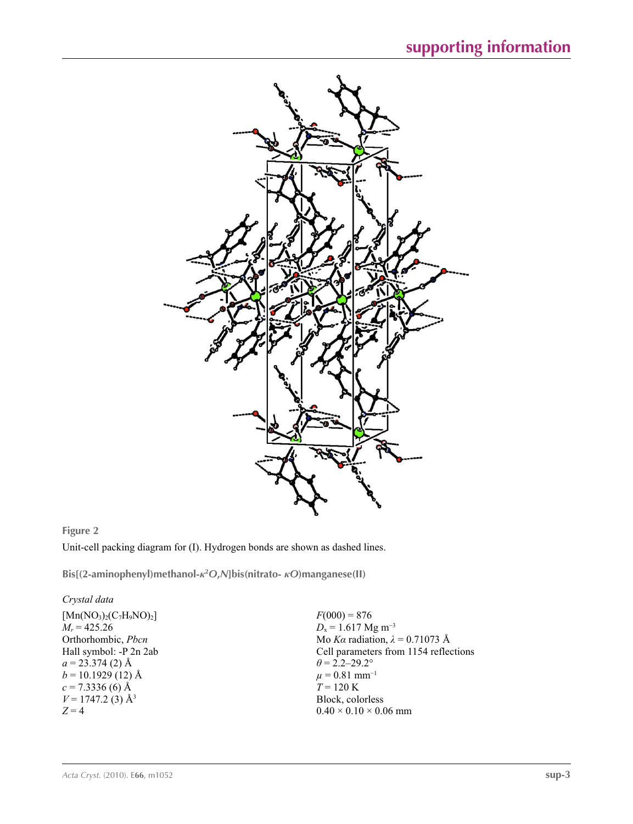

## **Figure 2**

Unit-cell packing diagram for (I). Hydrogen bonds are shown as dashed lines.

**Bis[(2-aminophenyl)methanol-***κ***<sup>2</sup>** *O***,***N***]bis(nitrato-** *κO***)manganese(II)** 

#### *Crystal data*

 $[Mn(NO<sub>3</sub>)<sub>2</sub>(C<sub>7</sub>H<sub>9</sub>NO)<sub>2</sub>]$  $M_r = 425.26$ Orthorhombic, *Pbcn* Hall symbol: -P 2n 2ab  $a = 23.374$  (2) Å  $b = 10.1929(12)$  Å  $c = 7.3336(6)$  Å  $V = 1747.2$  (3) Å<sup>3</sup> *Z* = 4

 $F(000) = 876$  $D_x = 1.617$  Mg m<sup>-3</sup> Mo *Kα* radiation, *λ* = 0.71073 Å Cell parameters from 1154 reflections  $\theta = 2.2 - 29.2^{\circ}$  $\mu$  = 0.81 mm<sup>-1</sup>  $T = 120 \text{ K}$ Block, colorless  $0.40 \times 0.10 \times 0.06$  mm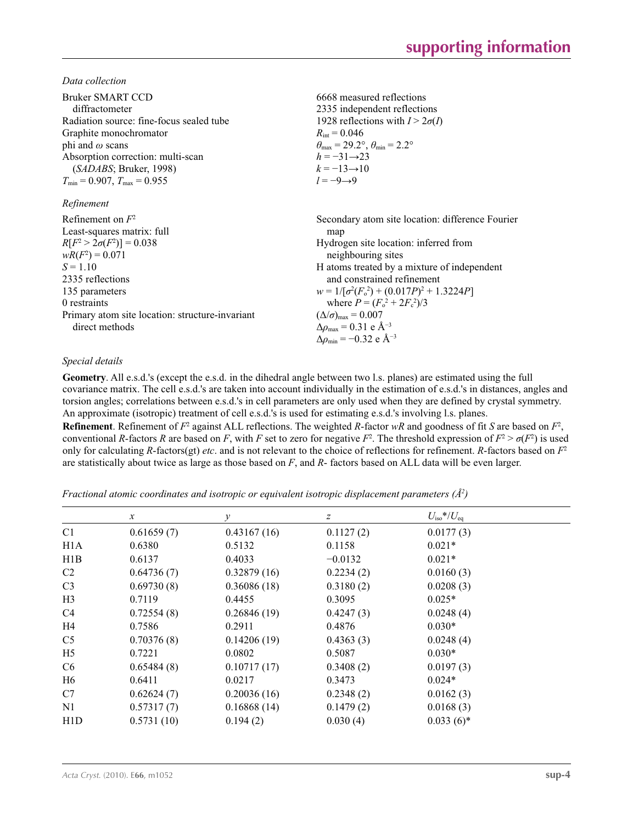*Data collection*

| Bruker SMART CCD<br>diffractometer<br>Radiation source: fine-focus sealed tube<br>Graphite monochromator<br>phi and $\omega$ scans<br>Absorption correction: multi-scan<br>(SADABS; Bruker, 1998)<br>$T_{\min}$ = 0.907, $T_{\max}$ = 0.955<br>Refinement | 6668 measured reflections<br>2335 independent reflections<br>1928 reflections with $I > 2\sigma(I)$<br>$R_{\text{int}} = 0.046$<br>$\theta_{\text{max}} = 29.2^{\circ}, \theta_{\text{min}} = 2.2^{\circ}$<br>$h = -31 \rightarrow 23$<br>$k = -13 \rightarrow 10$<br>$l = -9 \rightarrow 9$                                                                                                                                                            |
|-----------------------------------------------------------------------------------------------------------------------------------------------------------------------------------------------------------------------------------------------------------|---------------------------------------------------------------------------------------------------------------------------------------------------------------------------------------------------------------------------------------------------------------------------------------------------------------------------------------------------------------------------------------------------------------------------------------------------------|
| Refinement on $F^2$<br>Least-squares matrix: full<br>$R[F^2 > 2\sigma(F^2)] = 0.038$<br>$wR(F^2) = 0.071$<br>$S = 1.10$<br>2335 reflections<br>135 parameters<br>0 restraints<br>Primary atom site location: structure-invariant<br>direct methods        | Secondary atom site location: difference Fourier<br>map<br>Hydrogen site location: inferred from<br>neighbouring sites<br>H atoms treated by a mixture of independent<br>and constrained refinement<br>$w = 1/[\sigma^2(F_0^2) + (0.017P)^2 + 1.3224P]$<br>where $P = (F_o^2 + 2F_c^2)/3$<br>$(\Delta/\sigma)_{\text{max}} = 0.007$<br>$\Delta \rho_{\text{max}} = 0.31 \text{ e } \text{\AA}^{-3}$<br>$\Delta\rho_{\rm min} = -0.32$ e Å <sup>-3</sup> |

### *Special details*

**Geometry**. All e.s.d.'s (except the e.s.d. in the dihedral angle between two l.s. planes) are estimated using the full covariance matrix. The cell e.s.d.'s are taken into account individually in the estimation of e.s.d.'s in distances, angles and torsion angles; correlations between e.s.d.'s in cell parameters are only used when they are defined by crystal symmetry. An approximate (isotropic) treatment of cell e.s.d.'s is used for estimating e.s.d.'s involving l.s. planes.

**Refinement**. Refinement of  $F^2$  against ALL reflections. The weighted *R*-factor  $wR$  and goodness of fit *S* are based on  $F^2$ , conventional *R*-factors *R* are based on *F*, with *F* set to zero for negative  $F^2$ . The threshold expression of  $F^2 > \sigma(F^2)$  is used only for calculating *R*-factors(gt) *etc*. and is not relevant to the choice of reflections for refinement. *R*-factors based on *F*<sup>2</sup> are statistically about twice as large as those based on *F*, and *R*- factors based on ALL data will be even larger.

*Fractional atomic coordinates and isotropic or equivalent isotropic displacement parameters (Å2 )*

|                  | $\boldsymbol{x}$ | у           | $\boldsymbol{z}$ | $U_{\rm iso}*/U_{\rm eq}$ |  |
|------------------|------------------|-------------|------------------|---------------------------|--|
| C <sub>1</sub>   | 0.61659(7)       | 0.43167(16) | 0.1127(2)        | 0.0177(3)                 |  |
| H <sub>1</sub> A | 0.6380           | 0.5132      | 0.1158           | $0.021*$                  |  |
| H1B              | 0.6137           | 0.4033      | $-0.0132$        | $0.021*$                  |  |
| C2               | 0.64736(7)       | 0.32879(16) | 0.2234(2)        | 0.0160(3)                 |  |
| C <sub>3</sub>   | 0.69730(8)       | 0.36086(18) | 0.3180(2)        | 0.0208(3)                 |  |
| H <sub>3</sub>   | 0.7119           | 0.4455      | 0.3095           | $0.025*$                  |  |
| C4               | 0.72554(8)       | 0.26846(19) | 0.4247(3)        | 0.0248(4)                 |  |
| H <sub>4</sub>   | 0.7586           | 0.2911      | 0.4876           | $0.030*$                  |  |
| C <sub>5</sub>   | 0.70376(8)       | 0.14206(19) | 0.4363(3)        | 0.0248(4)                 |  |
| H <sub>5</sub>   | 0.7221           | 0.0802      | 0.5087           | $0.030*$                  |  |
| C <sub>6</sub>   | 0.65484(8)       | 0.10717(17) | 0.3408(2)        | 0.0197(3)                 |  |
| H <sub>6</sub>   | 0.6411           | 0.0217      | 0.3473           | $0.024*$                  |  |
| C7               | 0.62624(7)       | 0.20036(16) | 0.2348(2)        | 0.0162(3)                 |  |
| N1               | 0.57317(7)       | 0.16868(14) | 0.1479(2)        | 0.0168(3)                 |  |
| H <sub>1</sub> D | 0.5731(10)       | 0.194(2)    | 0.030(4)         | $0.033(6)*$               |  |
|                  |                  |             |                  |                           |  |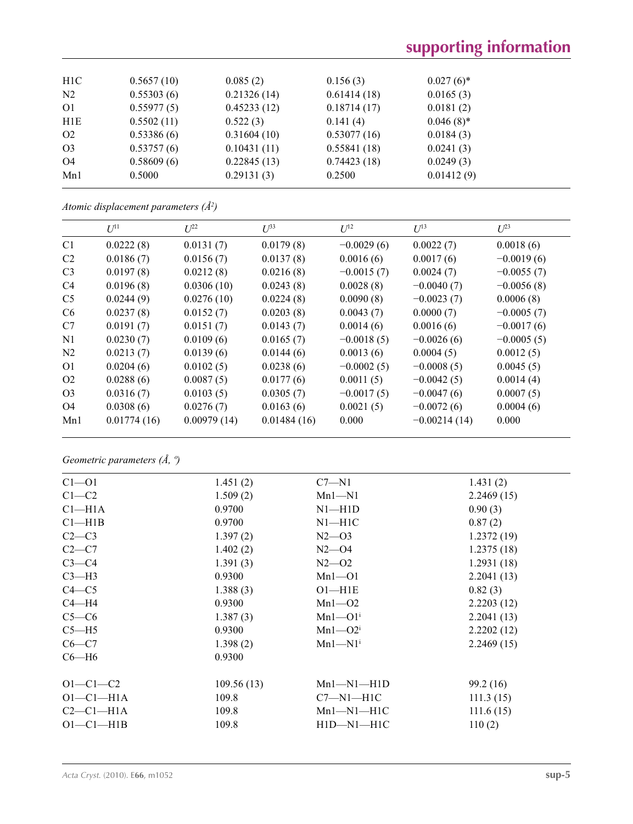# **supporting information**

| H <sub>1</sub> C | 0.5657(10) | 0.085(2)    | 0.156(3)    | $0.027(6)$ * |  |
|------------------|------------|-------------|-------------|--------------|--|
| N <sub>2</sub>   | 0.55303(6) | 0.21326(14) | 0.61414(18) | 0.0165(3)    |  |
| O <sub>1</sub>   | 0.55977(5) | 0.45233(12) | 0.18714(17) | 0.0181(2)    |  |
| H1E              | 0.5502(11) | 0.522(3)    | 0.141(4)    | $0.046(8)$ * |  |
| O <sub>2</sub>   | 0.53386(6) | 0.31604(10) | 0.53077(16) | 0.0184(3)    |  |
| O <sub>3</sub>   | 0.53757(6) | 0.10431(11) | 0.55841(18) | 0.0241(3)    |  |
| O4               | 0.58609(6) | 0.22845(13) | 0.74423(18) | 0.0249(3)    |  |
| Mn1              | 0.5000     | 0.29131(3)  | 0.2500      | 0.01412(9)   |  |
|                  |            |             |             |              |  |

|  | Atomic displacement parameters $(\AA^2)$ |  |  |
|--|------------------------------------------|--|--|
|--|------------------------------------------|--|--|

|                | $U^{11}$    | $L^{22}$    | $U^{33}$    | $U^{12}$     | $U^{13}$       | $U^{23}$     |
|----------------|-------------|-------------|-------------|--------------|----------------|--------------|
| C <sub>1</sub> | 0.0222(8)   | 0.0131(7)   | 0.0179(8)   | $-0.0029(6)$ | 0.0022(7)      | 0.0018(6)    |
| C <sub>2</sub> | 0.0186(7)   | 0.0156(7)   | 0.0137(8)   | 0.0016(6)    | 0.0017(6)      | $-0.0019(6)$ |
| C <sub>3</sub> | 0.0197(8)   | 0.0212(8)   | 0.0216(8)   | $-0.0015(7)$ | 0.0024(7)      | $-0.0055(7)$ |
| C <sub>4</sub> | 0.0196(8)   | 0.0306(10)  | 0.0243(8)   | 0.0028(8)    | $-0.0040(7)$   | $-0.0056(8)$ |
| C <sub>5</sub> | 0.0244(9)   | 0.0276(10)  | 0.0224(8)   | 0.0090(8)    | $-0.0023(7)$   | 0.0006(8)    |
| C <sub>6</sub> | 0.0237(8)   | 0.0152(7)   | 0.0203(8)   | 0.0043(7)    | 0.0000(7)      | $-0.0005(7)$ |
| C7             | 0.0191(7)   | 0.0151(7)   | 0.0143(7)   | 0.0014(6)    | 0.0016(6)      | $-0.0017(6)$ |
| N1             | 0.0230(7)   | 0.0109(6)   | 0.0165(7)   | $-0.0018(5)$ | $-0.0026(6)$   | $-0.0005(5)$ |
| N2             | 0.0213(7)   | 0.0139(6)   | 0.0144(6)   | 0.0013(6)    | 0.0004(5)      | 0.0012(5)    |
| O <sub>1</sub> | 0.0204(6)   | 0.0102(5)   | 0.0238(6)   | $-0.0002(5)$ | $-0.0008(5)$   | 0.0045(5)    |
| O <sub>2</sub> | 0.0288(6)   | 0.0087(5)   | 0.0177(6)   | 0.0011(5)    | $-0.0042(5)$   | 0.0014(4)    |
| O <sub>3</sub> | 0.0316(7)   | 0.0103(5)   | 0.0305(7)   | $-0.0017(5)$ | $-0.0047(6)$   | 0.0007(5)    |
| O <sub>4</sub> | 0.0308(6)   | 0.0276(7)   | 0.0163(6)   | 0.0021(5)    | $-0.0072(6)$   | 0.0004(6)    |
| Mn1            | 0.01774(16) | 0.00979(14) | 0.01484(16) | 0.000        | $-0.00214(14)$ | 0.000        |

*Geometric parameters (Å, º)*

| $Cl - O1$           | 1.451(2)   | $C7 - N1$               | 1.431(2)   |
|---------------------|------------|-------------------------|------------|
| $C1-C2$             | 1.509(2)   | $Mn1 - N1$              | 2.2469(15) |
| Cl <sub>–</sub> H1A | 0.9700     | $N1 - H1D$              | 0.90(3)    |
| Cl—H1B              | 0.9700     | $N1 - H1C$              | 0.87(2)    |
| $C2-C3$             | 1.397(2)   | $N2 - 03$               | 1.2372(19) |
| $C2-C7$             | 1.402(2)   | $N2 - 04$               | 1.2375(18) |
| $C3-C4$             | 1.391(3)   | $N2 - 02$               | 1.2931(18) |
| $C3-H3$             | 0.9300     | $Mn1 - 01$              | 2.2041(13) |
| $C4 - C5$           | 1.388(3)   | $O1 - H1E$              | 0.82(3)    |
| $C4 - H4$           | 0.9300     | $Mn1 - 02$              | 2.2203(12) |
| $C5-C6$             | 1.387(3)   | $Mn1 - O1$ <sup>i</sup> | 2.2041(13) |
| $C5 - H5$           | 0.9300     | $Mn1 - O2i$             | 2.2202(12) |
| $C6-C7$             | 1.398(2)   | $Mn1-M1$ <sup>i</sup>   | 2.2469(15) |
| $C6 - H6$           | 0.9300     |                         |            |
| $O1 - C1 - C2$      | 109.56(13) | $Mn1-M1-H1D$            | 99.2 (16)  |
| $O1-C1-H1A$         | 109.8      | $C7 - N1 - H1C$         | 111.3(15)  |
| $C2-C1-H1A$         | 109.8      | $Mn1-M1-H1C$            | 111.6(15)  |
| $O1-C1-H1B$         | 109.8      | $H1D-M1-H1C$            | 110(2)     |
|                     |            |                         |            |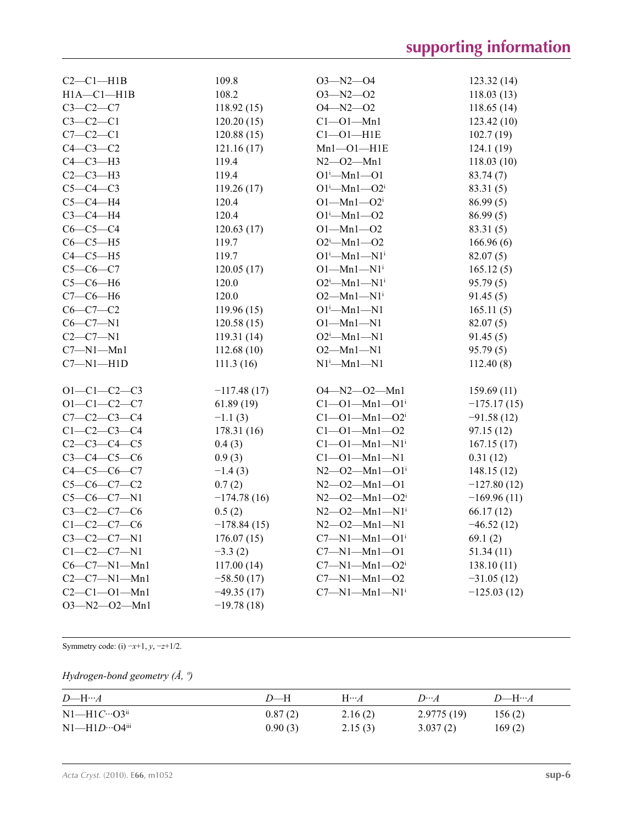| $C2-C1-H1B$          | 109.8         | $O3 - N2 - O4$                          | 123.32(14)    |
|----------------------|---------------|-----------------------------------------|---------------|
| $H1A - C1 - H1B$     | 108.2         | $O3 - N2 - O2$                          | 118.03(13)    |
| $C3-C2-C7$           | 118.92(15)    | $O4 - N2 - O2$                          | 118.65(14)    |
| $C3-C2-C1$           | 120.20(15)    | $Cl - O1 - Mn1$                         | 123.42(10)    |
| $C7-C2-C1$           | 120.88(15)    | $Cl$ -Ol-H1E                            | 102.7(19)     |
| $C4-C3-C2$           | 121.16(17)    | $Mn1 - O1 - H1E$                        | 124.1(19)     |
| $C4-C3-H3$           | 119.4         | $N2 - 02 - Mn1$                         | 118.03(10)    |
| $C2-C3-H3$           | 119.4         | $O1^{i}$ --Mn $1$ --O1                  | 83.74 (7)     |
| $C5-C4-C3$           | 119.26(17)    | $O1^{i}$ --Mn $1$ --O2 <sup>i</sup>     | 83.31(5)      |
| $C5-C4-H4$           | 120.4         | $O1 - Mn1 - O2i$                        | 86.99(5)      |
| $C3-C4-H4$           | 120.4         | $O1^{i}$ -Mn $1$ - $O2$                 | 86.99(5)      |
| $C6-C5-C4$           | 120.63(17)    | $O1 - Mn1 - O2$                         | 83.31(5)      |
| $C6-C5-H5$           | 119.7         | $O2^i$ -Mn1- $O2$                       | 166.96(6)     |
| $C4-C5-H5$           | 119.7         | $O1^{i}$ -Mn $1$ -N $1^{i}$             | 82.07(5)      |
| $C5-C6-C7$           | 120.05(17)    | $O1-Mn1-N1i$                            | 165.12(5)     |
| $C5-C6-H6$           | 120.0         | $O2^i$ --Mn1--N1 <sup>i</sup>           | 95.79(5)      |
| $C7-C6-H6$           | 120.0         | $O2 - Mn1 - N1$ <sup>i</sup>            | 91.45(5)      |
| $C6-C7-C2$           | 119.96 (15)   | $O1^{i}$ -Mn $1$ -N1                    | 165.11(5)     |
| $C6-C7-N1$           | 120.58(15)    | $O1 - Mn1 - N1$                         | 82.07(5)      |
| $C2-C7-N1$           | 119.31 (14)   | $O2^i$ --Mn1--N1                        | 91.45(5)      |
| $C7 - N1 - Mn1$      | 112.68(10)    | $O2 - Mn1 - N1$                         | 95.79(5)      |
| $C7 - N1 - H1D$      | 111.3(16)     | $N1^i$ -Mn $1$ -N1                      | 112.40(8)     |
|                      |               |                                         |               |
| $O1 - C1 - C2 - C3$  | $-117.48(17)$ | $O4 - N2 - O2 - Mn1$                    | 159.69(11)    |
| $O1 - C1 - C2 - C7$  | 61.89(19)     | $C1 - 01 - Mn1 - 01$ <sup>i</sup>       | $-175.17(15)$ |
| $C7 - C2 - C3 - C4$  | $-1.1(3)$     | $C1 - 01 - Mn1 - 02$                    | $-91.58(12)$  |
| $C1-C2-C3-C4$        | 178.31 (16)   | $C1 - 01 - Mn1 - 02$                    | 97.15(12)     |
| $C2-C3-C4-C5$        | 0.4(3)        | $C1 - 01 - Mn1 - N1$ <sup>i</sup>       | 167.15(17)    |
| $C3-C4-C5-C6$        | 0.9(3)        | $Cl - O1 - Mn1 - N1$                    | 0.31(12)      |
| $C4 - C5 - C6 - C7$  | $-1.4(3)$     | $N2 - 02 - Mn1 - O1$ <sup>i</sup>       | 148.15(12)    |
| $C5-C6-C7-C2$        | 0.7(2)        | $N2 - 02 - Mn1 - 01$                    | $-127.80(12)$ |
| $C5-C6-C7-N1$        | $-174.78(16)$ | $N2 - 02 - Mn1 - O2$ <sup>i</sup>       | $-169.96(11)$ |
| $C3 - C2 - C7 - C6$  | 0.5(2)        | $N2$ — $O2$ — $Mn1$ — $N1$ <sup>i</sup> | 66.17(12)     |
| $C1 - C2 - C7 - C6$  | $-178.84(15)$ | $N2 - 02 - Mn1 - N1$                    | $-46.52(12)$  |
| $C3 - C2 - C7 - N1$  | 176.07(15)    | $C7 - N1 - Mn1 - O1$ <sup>i</sup>       | 69.1(2)       |
| $C1-C2-C7-N1$        | $-3.3(2)$     | $C7 - N1 - Mn1 - O1$                    | 51.34(11)     |
| $C6 - C7 - N1 - Mn1$ | 117.00(14)    | $C7 - N1 - Mn1 - O2i$                   | 138.10(11)    |
| $C2 - C7 - N1 - Mn1$ | $-58.50(17)$  | $C7 - N1 - Mn1 - O2$                    | $-31.05(12)$  |
| $C2 - C1 - O1 - Mn1$ | $-49.35(17)$  | $C7 - N1 - Mn1 - N1$ <sup>i</sup>       | $-125.03(12)$ |
| $O3 - N2 - O2 - Mn1$ | $-19.78(18)$  |                                         |               |

Symmetry code: (i) −*x*+1, *y*, −*z*+1/2.

## *Hydrogen-bond geometry (Å, º)*

| $D\rightarrowtail H\rightarrowtail A$ | D—H     | $H\cdots A$ | $D \cdots A$ | $D$ —H… $A$ |
|---------------------------------------|---------|-------------|--------------|-------------|
| $N1-H1C\cdots O3ii$                   | 0.87(2) | 2.16(2)     | 2.9775(19)   | 156(2)      |
| $N1$ —H $1D$ …O4 $i$ ii               | 0.90(3) | 2.15(3)     | 3.037(2)     | 169(2)      |